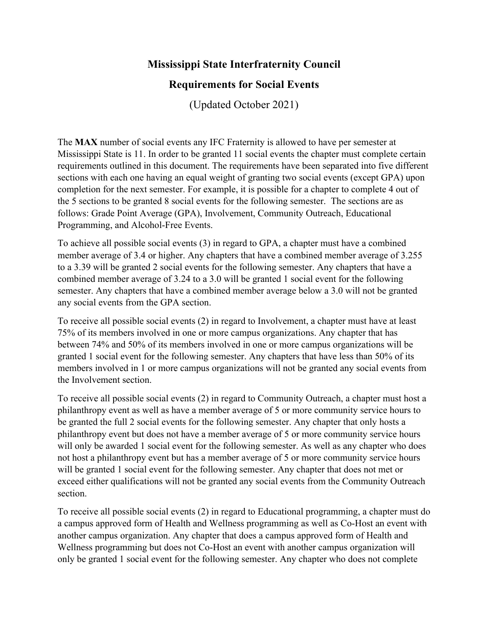## **Mississippi State Interfraternity Council**

## **Requirements for Social Events**

(Updated October 2021)

The **MAX** number of social events any IFC Fraternity is allowed to have per semester at Mississippi State is 11. In order to be granted 11 social events the chapter must complete certain requirements outlined in this document. The requirements have been separated into five different sections with each one having an equal weight of granting two social events (except GPA) upon completion for the next semester. For example, it is possible for a chapter to complete 4 out of the 5 sections to be granted 8 social events for the following semester. The sections are as follows: Grade Point Average (GPA), Involvement, Community Outreach, Educational Programming, and Alcohol-Free Events.

To achieve all possible social events (3) in regard to GPA, a chapter must have a combined member average of 3.4 or higher. Any chapters that have a combined member average of 3.255 to a 3.39 will be granted 2 social events for the following semester. Any chapters that have a combined member average of 3.24 to a 3.0 will be granted 1 social event for the following semester. Any chapters that have a combined member average below a 3.0 will not be granted any social events from the GPA section.

To receive all possible social events (2) in regard to Involvement, a chapter must have at least 75% of its members involved in one or more campus organizations. Any chapter that has between 74% and 50% of its members involved in one or more campus organizations will be granted 1 social event for the following semester. Any chapters that have less than 50% of its members involved in 1 or more campus organizations will not be granted any social events from the Involvement section.

To receive all possible social events (2) in regard to Community Outreach, a chapter must host a philanthropy event as well as have a member average of 5 or more community service hours to be granted the full 2 social events for the following semester. Any chapter that only hosts a philanthropy event but does not have a member average of 5 or more community service hours will only be awarded 1 social event for the following semester. As well as any chapter who does not host a philanthropy event but has a member average of 5 or more community service hours will be granted 1 social event for the following semester. Any chapter that does not met or exceed either qualifications will not be granted any social events from the Community Outreach section.

To receive all possible social events (2) in regard to Educational programming, a chapter must do a campus approved form of Health and Wellness programming as well as Co-Host an event with another campus organization. Any chapter that does a campus approved form of Health and Wellness programming but does not Co-Host an event with another campus organization will only be granted 1 social event for the following semester. Any chapter who does not complete